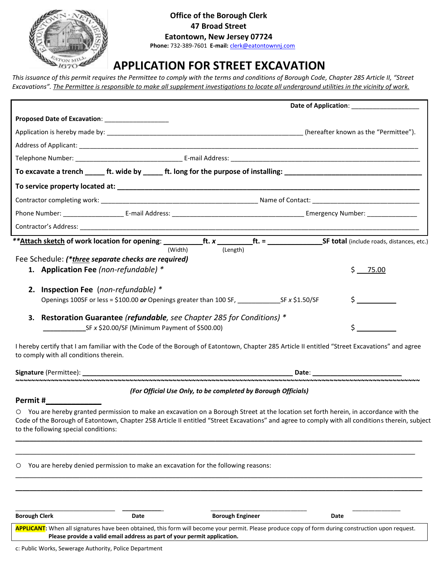

# **Office of the Borough Clerk 47 Broad Street Eatontown, New Jersey 07724**

 **Phone:** 732-389-7601 **E-mail:** [clerk@eatontownnj.com](mailto:clerk@eatontownnj.com)

# **APPLICATION FOR STREET EXCAVATION**

*This issuance of this permit requires the Permittee to comply with the terms and conditions of Borough Code, Chapter 285 Article II, "Street Excavations". The Permittee is responsible to make all supplement investigations to locate all underground utilities in the vicinity of work.*

|                                                                                                                                               | Date of Application: ____________________ |
|-----------------------------------------------------------------------------------------------------------------------------------------------|-------------------------------------------|
| Proposed Date of Excavation: ____________________                                                                                             |                                           |
|                                                                                                                                               |                                           |
|                                                                                                                                               |                                           |
|                                                                                                                                               |                                           |
|                                                                                                                                               |                                           |
|                                                                                                                                               |                                           |
|                                                                                                                                               |                                           |
|                                                                                                                                               |                                           |
|                                                                                                                                               |                                           |
| (Width)<br>(Length)                                                                                                                           |                                           |
| Fee Schedule: (*three separate checks are required)                                                                                           |                                           |
| 1. Application Fee (non-refundable) *                                                                                                         | Ś.<br>75.00                               |
| 2. Inspection Fee (non-refundable) *                                                                                                          |                                           |
|                                                                                                                                               | $\sharp$ and $\sharp$                     |
| 3. Restoration Guarantee (refundable, see Chapter 285 for Conditions) *                                                                       |                                           |
| $SF \times $20.00/SF$ (Minimum Payment of \$500.00)                                                                                           |                                           |
| I hereby certify that I am familiar with the Code of the Borough of Eatontown, Chapter 285 Article II entitled "Street Excavations" and agree |                                           |

to comply with all conditions therein.

**Signature** (Permittee): \_\_\_\_\_\_\_\_\_\_\_\_\_\_\_\_\_\_\_\_\_\_\_\_\_\_\_\_\_\_\_\_\_\_\_\_\_\_\_\_\_\_\_\_\_\_\_\_\_\_\_\_\_\_\_\_\_\_\_ **Date**: \_\_\_\_\_\_\_\_\_\_\_\_\_\_\_\_\_\_\_\_\_\_\_\_\_

# *(For Official Use Only, to be completed by Borough Officials)*

**~~~~~~~~~~~~~~~~~~~~~~~~~~~~~~~~~~~~~~~~~~~~~~~~~~~~~~~~~~~~~~~~~~~~~~~~~~~~~~~~~~~~~~~~~~~~~~~~~~~~~~~**

# **Permit #\_\_\_\_\_\_\_\_\_\_\_\_\_**

o You are hereby granted permission to make an excavation on a Borough Street at the location set forth herein, in accordance with the Code of the Borough of Eatontown, Chapter 258 Article II entitled "Street Excavations" and agree to comply with all conditions therein, subject to the following special conditions:

\_\_\_\_\_\_\_\_\_\_\_\_\_\_\_\_\_\_\_\_\_\_\_\_\_\_\_\_\_\_\_\_\_\_\_\_\_\_\_\_\_\_\_\_\_\_\_\_\_\_\_\_\_\_\_\_\_\_\_\_\_\_\_\_\_\_\_\_\_\_\_\_\_\_\_\_\_\_\_\_\_\_\_\_\_\_\_\_\_\_\_\_\_\_\_\_\_\_\_\_\_\_\_\_\_\_\_\_\_\_\_\_\_\_ \_\_\_\_\_\_\_\_\_\_\_\_\_\_\_\_\_\_\_\_\_\_\_\_\_\_\_\_\_\_\_\_\_\_\_\_\_\_\_\_\_\_\_\_\_\_\_\_\_\_\_\_\_\_\_\_\_\_\_\_\_\_\_\_\_\_\_\_\_\_\_\_\_\_\_\_\_\_\_\_\_\_\_\_\_\_\_\_\_\_\_\_\_\_\_\_\_\_\_\_\_\_\_\_\_\_\_\_\_\_\_\_

\_\_\_\_\_\_\_\_\_\_\_\_\_\_\_\_\_\_\_\_\_\_\_\_\_\_\_\_\_\_\_\_\_\_\_\_\_\_\_\_\_\_\_\_\_\_\_\_\_\_\_\_\_\_\_\_\_\_\_\_\_\_\_\_\_\_\_\_\_\_\_\_\_\_\_\_\_\_\_\_\_\_\_\_\_\_\_\_\_\_\_\_\_\_\_\_\_\_\_\_\_\_\_\_\_\_\_\_\_\_\_\_\_\_ \_\_\_\_\_\_\_\_\_\_\_\_\_\_\_\_\_\_\_\_\_\_\_\_\_\_\_\_\_\_\_\_\_\_\_\_\_\_\_\_\_\_\_\_\_\_\_\_\_\_\_\_\_\_\_\_\_\_\_\_\_\_\_\_\_\_\_\_\_\_\_\_\_\_\_\_\_\_\_\_\_\_\_\_\_\_\_\_\_\_\_\_\_\_\_\_\_\_\_\_\_\_\_\_\_\_\_\_\_\_\_\_\_\_

o You are hereby denied permission to make an excavation for the following reasons:

| <b>Borough Clerk</b>                                                                                                                                | Date | <b>Borough Engineer</b> | Date |  |
|-----------------------------------------------------------------------------------------------------------------------------------------------------|------|-------------------------|------|--|
| APPLICANT: When all signatures have been obtained, this form will become your permit. Please produce copy of form during construction upon request. |      |                         |      |  |
| Please provide a valid email address as part of your permit application.                                                                            |      |                         |      |  |
|                                                                                                                                                     |      |                         |      |  |

c: Public Works, Sewerage Authority, Police Department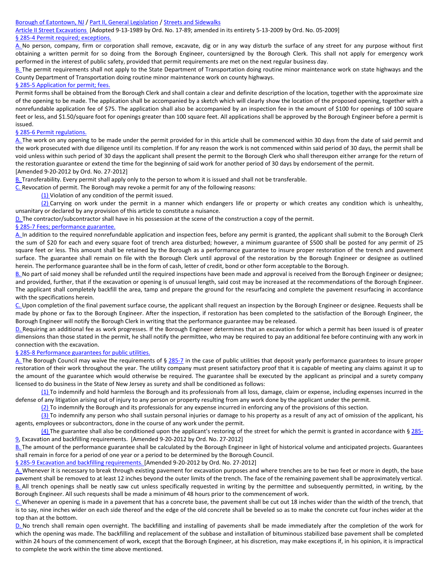#### [Borough of Eatontown, NJ](https://ecode360.com/EA0040) [/ Part II, General Legislation](https://ecode360.com/11761707) [/ Streets and Sidewalks](https://ecode360.com/7641453)

[Article II Street Excavations](https://ecode360.com/7641465) [Adopted 9-13-1989 by Ord. No. 17-89; amended in its entirety 5-13-2009 by Ord. No. 05-2009] § 285-4 Permit required; exceptions.

[A.](https://ecode360.com/7641467#7641467) No person, company, firm or corporation shall remove, excavate, dig or in any way disturb the surface of any street for any purpose without first obtaining a written permit for so doing from the Borough Engineer, countersigned by the Borough Clerk. This shall not apply for emergency work performed in the interest of public safety, provided that permit requirements are met on the next regular business day.

[B.](https://ecode360.com/7641468#7641468) The permit requirements shall not apply to the State Department of Transportation doing routine minor maintenance work on state highways and the County Department of Transportation doing routine minor maintenance work on county highways.

#### § 285-5 Application for permit; fees.

Permit forms shall be obtained from the Borough Clerk and shall contain a clear and definite description of the location, together with the approximate size of the opening to be made. The application shall be accompanied by a sketch which will clearly show the location of the proposed opening, together with a nonrefundable application fee of \$75. The application shall also be accompanied by an inspection fee in the amount of \$100 for openings of 100 square feet or less, and \$1.50/square foot for openings greater than 100 square feet. All applications shall be approved by the Borough Engineer before a permit is issued.

#### § 285-6 Permit regulations.

[A.](https://ecode360.com/7641471#7641471) The work on any opening to be made under the permit provided for in this article shall be commenced within 30 days from the date of said permit and the work prosecuted with due diligence until its completion. If for any reason the work is not commenced within said period of 30 days, the permit shall be void unless within such period of 30 days the applicant shall present the permit to the Borough Clerk who shall thereupon either arrange for the return of the restoration guarantee or extend the time for the beginning of said work for another period of 30 days by endorsement of the permit. [Amended 9-20-2012 by Ord. No. 27-2012]

[B.](https://ecode360.com/7641472#7641472) Transferability. Every permit shall apply only to the person to whom it is issued and shall not be transferable.

[C.](https://ecode360.com/7641473#7641473) Revocation of permit. The Borough may revoke a permit for any of the following reasons:

[\(1\)](https://ecode360.com/7641474#7641474) Violation of any condition of the permit issued.

 $(2)$  Carrying on work under the permit in a manner which endangers life or property or which creates any condition which is unhealthy, unsanitary or declared by any provision of this article to constitute a nuisance.

[D.](https://ecode360.com/7641476#7641476) The contractor/subcontractor shall have in his possession at the scene of the construction a copy of the permit.

#### § 285-7 Fees; performance guarantee.

[A.](https://ecode360.com/7641478#7641478) In addition to the required nonrefundable application and inspection fees, before any permit is granted, the applicant shall submit to the Borough Clerk the sum of \$20 for each and every square foot of trench area disturbed; however, a minimum guarantee of \$500 shall be posted for any permit of 25 square feet or less. This amount shall be retained by the Borough as a performance guarantee to insure proper restoration of the trench and pavement surface. The guarantee shall remain on file with the Borough Clerk until approval of the restoration by the Borough Engineer or designee as outlined herein. The performance guarantee shall be in the form of cash, letter of credit, bond or other form acceptable to the Borough.

[B.](https://ecode360.com/7641479#7641479) No part of said money shall be refunded until the required inspections have been made and approval is received from the Borough Engineer or designee; and provided, further, that if the excavation or opening is of unusual length, said cost may be increased at the recommendations of the Borough Engineer. The applicant shall completely backfill the area, tamp and prepare the ground for the resurfacing and complete the pavement resurfacing in accordance with the specifications herein.

[C.](https://ecode360.com/7641480#7641480) Upon completion of the final pavement surface course, the applicant shall request an inspection by the Borough Engineer or designee. Requests shall be made by phone or fax to the Borough Engineer. After the inspection, if restoration has been completed to the satisfaction of the Borough Engineer, the Borough Engineer will notify the Borough Clerk in writing that the performance guarantee may be released.

[D.](https://ecode360.com/7641481#7641481) Requiring an additional fee as work progresses. If the Borough Engineer determines that an excavation for which a permit has been issued is of greater dimensions than those stated in the permit, he shall notify the permittee, who may be required to pay an additional fee before continuing with any work in connection with the excavation.

#### § [285-8 Performance guarantees for public utilities.](https://ecode360.com/7641465#7641482)

[A.](https://ecode360.com/13468176#13468176) The Borough Council may waive the requirements of § [285-7](https://ecode360.com/7641477#7641477) in the case of public utilities that deposit yearly performance guarantees to insure proper restoration of their work throughout the year. The utility company must present satisfactory proof that it is capable of meeting any claims against it up to the amount of the guarantee which would otherwise be required. The guarantee shall be executed by the applicant as principal and a surety company licensed to do business in the State of New Jersey as surety and shall be conditioned as follows:

 $(1)$  To indemnify and hold harmless the Borough and its professionals from all loss, damage, claim or expense, including expenses incurred in the defense of any litigation arising out of injury to any person or property resulting from any work done by the applicant under the permit.

[\(2\)](https://ecode360.com/13468178#13468178) To indemnify the Borough and its professionals for any expense incurred in enforcing any of the provisions of this section.

[\(3\)](https://ecode360.com/13468179#13468179) To indemnify any person who shall sustain personal injuries or damage to his property as a result of any act of omission of the applicant, his agents, employees or subcontractors, done in the course of any work under the permit.

[\(4\)](https://ecode360.com/13468180#13468180) The guarantee shall also be conditioned upon the applicant's restoring of the street for which the permit is granted in accordance with § [285-](https://ecode360.com/7641483#7641483) [9,](https://ecode360.com/7641483#7641483) Excavation and backfilling requirements. [Amended 9-20-2012 by Ord. No. 27-2012]

[B.](https://ecode360.com/13468181#13468181) The amount of the performance guarantee shall be calculated by the Borough Engineer in light of historical volume and anticipated projects. Guarantees shall remain in force for a period of one year or a period to be determined by the Borough Council.

§ [285-9 Excavation and backfilling requirements. \[](https://ecode360.com/7641465#7641483)Amended 9-20-2012 by Ord. No. 27-2012]

[A.](https://ecode360.com/26836041#26836041) Whenever it is necessary to break through existing pavement for excavation purposes and where trenches are to be two feet or more in depth, the base pavement shall be removed to at least 12 inches beyond the outer limits of the trench. The face of the remaining pavement shall be approximately vertical. [B.](https://ecode360.com/26836042#26836042) All trench openings shall be neatly saw cut unless specifically requested in writing by the permittee and subsequently permitted, in writing, by the Borough Engineer. All such requests shall be made a minimum of 48 hours prior to the commencement of work.

[C.](https://ecode360.com/26836043#26836043) Whenever an opening is made in a pavement that has a concrete base, the pavement shall be cut out 18 inches wider than the width of the trench, that is to say, nine inches wider on each side thereof and the edge of the old concrete shall be beveled so as to make the concrete cut four inches wider at the top than at the bottom.

[D.](https://ecode360.com/26836044#26836044) No trench shall remain open overnight. The backfilling and installing of pavements shall be made immediately after the completion of the work for which the opening was made. The backfilling and replacement of the subbase and installation of bituminous stabilized base pavement shall be completed within 24 hours of the commencement of work, except that the Borough Engineer, at his discretion, may make exceptions if, in his opinion, it is impractical to complete the work within the time above mentioned.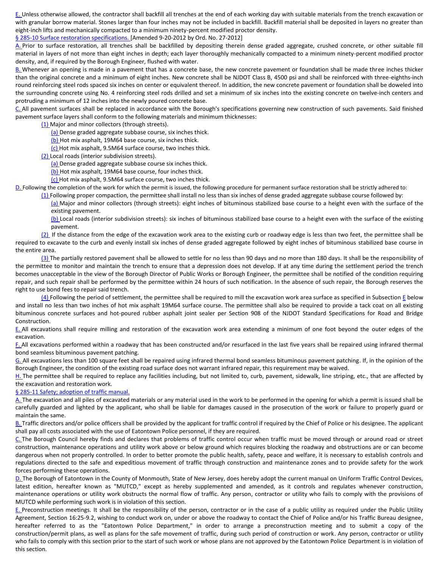[E.](https://ecode360.com/26836045#26836045) Unless otherwise allowed, the contractor shall backfill all trenches at the end of each working day with suitable materials from the trench excavation or with granular borrow material. Stones larger than four inches may not be included in backfill. Backfill material shall be deposited in layers no greater than eight-inch lifts and mechanically compacted to a minimum ninety-percent modified proctor density.

## § [285-10 Surface restoration specifications. \[](https://ecode360.com/7641465#7641484)Amended 9-20-2012 by Ord. No. 27-2012]

[A.](https://ecode360.com/7641485#7641485) Prior to surface restoration, all trenches shall be backfilled by depositing therein dense graded aggregate, crushed concrete, or other suitable fill material in layers of not more than eight inches in depth; each layer thoroughly mechanically compacted to a minimum ninety-percent modified proctor density, and, if required by the Borough Engineer, flushed with water.

[B.](https://ecode360.com/7641486#7641486) Whenever an opening is made in a pavement that has a concrete base, the new concrete pavement or foundation shall be made three inches thicker than the original concrete and a minimum of eight inches. New concrete shall be NJDOT Class B, 4500 psi and shall be reinforced with three-eighths-inch round reinforcing steel rods spaced six inches on center or equivalent thereof. In addition, the new concrete pavement or foundation shall be doweled into the surrounding concrete using No. 4 reinforcing steel rods drilled and set a minimum of six inches into the existing concrete on twelve-inch centers and protruding a minimum of 12 inches into the newly poured concrete base.

[C.](https://ecode360.com/7641487#7641487) All pavement surfaces shall be replaced in accordance with the Borough's specifications governing new construction of such pavements. Said finished pavement surface layers shall conform to the following materials and minimum thicknesses:

[\(1\)](https://ecode360.com/26836046#26836046) Major and minor collectors (through streets).

[\(a\)](https://ecode360.com/26836047#26836047) Dense graded aggregate subbase course, six inches thick.

[\(b\)](https://ecode360.com/26836048#26836048) Hot mix asphalt, 19M64 base course, six inches thick.

[\(c\)](https://ecode360.com/26836049#26836049) Hot mix asphalt, 9.5M64 surface course, two inches thick.

[\(2\)](https://ecode360.com/26836050#26836050) Local roads (interior subdivision streets).

[\(a\)](https://ecode360.com/26836051#26836051) Dense graded aggregate subbase course six inches thick.

[\(b\)](https://ecode360.com/26836052#26836052) Hot mix asphalt, 19M64 base course, four inches thick.

[\(c\)](https://ecode360.com/26836053#26836053) Hot mix asphalt, 9.5M64 surface course, two inches thick.

[D.](https://ecode360.com/26836054#26836054) Following the completion of the work for which the permit is issued, the following procedure for permanent surface restoration shall be strictly adhered to:

 $(1)$  Following proper compaction, the permittee shall install no less than six inches of dense graded aggregate subbase course followed by:

[\(a\)](https://ecode360.com/26836056#26836056) Major and minor collectors (through streets): eight inches of bituminous stabilized base course to a height even with the surface of the existing pavement.

[\(b\)](https://ecode360.com/26836057#26836057) Local roads (interior subdivision streets): six inches of bituminous stabilized base course to a height even with the surface of the existing pavement.

[\(2\)](https://ecode360.com/26836058#26836058) If the distance from the edge of the excavation work area to the existing curb or roadway edge is less than two feet, the permittee shall be required to excavate to the curb and evenly install six inches of dense graded aggregate followed by eight inches of bituminous stabilized base course in the entire area.

[\(3\)](https://ecode360.com/26836059#26836059) The partially restored pavement shall be allowed to settle for no less than 90 days and no more than 180 days. It shall be the responsibility of the permittee to monitor and maintain the trench to ensure that a depression does not develop. If at any time during the settlement period the trench becomes unacceptable in the view of the Borough Director of Public Works or Borough Engineer, the permittee shall be notified of the condition requiring repair, and such repair shall be performed by the permittee within 24 hours of such notification. In the absence of such repair, the Borough reserves the right to use bond fees to repair said trench.

 $(4)$  Following the period of settlement, the permittee shall be required to mill the excavation work area surface as specified in Subsection  $E$  below and install no less than two inches of hot mix asphalt 19M64 surface course. The permittee shall also be required to provide a tack coat on all existing bituminous concrete surfaces and hot-poured rubber asphalt joint sealer per Section 908 of the NJDOT Standard Specifications for Road and Bridge Construction.

[E.](https://ecode360.com/26836061#26836061) All excavations shall require milling and restoration of the excavation work area extending a minimum of one foot beyond the outer edges of the excavation.

[F.](https://ecode360.com/26836062#26836062) All excavations performed within a roadway that has been constructed and/or resurfaced in the last five years shall be repaired using infrared thermal bond seamless bituminous pavement patching.

[G.](https://ecode360.com/26836063#26836063) All excavations less than 100 square feet shall be repaired using infrared thermal bond seamless bituminous pavement patching. If, in the opinion of the Borough Engineer, the condition of the existing road surface does not warrant infrared repair, this requirement may be waived.

[H.](https://ecode360.com/26836064#26836064) The permittee shall be required to replace any facilities including, but not limited to, curb, pavement, sidewalk, line striping, etc., that are affected by the excavation and restoration work.

## § 285-11 Safety; adoption of traffic manual.

[A.](https://ecode360.com/7641489#7641489) The excavation and all piles of excavated materials or any material used in the work to be performed in the opening for which a permit is issued shall be carefully guarded and lighted by the applicant, who shall be liable for damages caused in the prosecution of the work or failure to properly guard or maintain the same.

[B.](https://ecode360.com/7641490#7641490) Traffic directors and/or police officers shall be provided by the applicant for traffic control if required by the Chief of Police or his designee. The applicant shall pay all costs associated with the use of Eatontown Police personnel, if they are required.

[C.](https://ecode360.com/7641491#7641491) The Borough Council hereby finds and declares that problems of traffic control occur when traffic must be moved through or around road or street construction, maintenance operations and utility work above or below ground which requires blocking the roadway and obstructions are or can become dangerous when not properly controlled. In order to better promote the public health, safety, peace and welfare, it is necessary to establish controls and regulations directed to the safe and expeditious movement of traffic through construction and maintenance zones and to provide safety for the work forces performing these operations.

[D.](https://ecode360.com/7641492#7641492) The Borough of Eatontown in the County of Monmouth, State of New Jersey, does hereby adopt the current manual on Uniform Traffic Control Devices, latest edition, hereafter known as "MUTCD," except as hereby supplemented and amended, as it controls and regulates whenever construction, maintenance operations or utility work obstructs the normal flow of traffic. Any person, contractor or utility who fails to comply with the provisions of MUTCD while performing such work is in violation of this section.

[E.](https://ecode360.com/7641493#7641493) Preconstruction meetings. It shall be the responsibility of the person, contractor or in the case of a public utility as required under the Public Utility Agreement, Section 16:25-9.2, wishing to conduct work on, under or above the roadway to contact the Chief of Police and/or his Traffic Bureau designee, hereafter referred to as the "Eatontown Police Department," in order to arrange a preconstruction meeting and to submit a copy of the construction/permit plans, as well as plans for the safe movement of traffic, during such period of construction or work. Any person, contractor or utility who fails to comply with this section prior to the start of such work or whose plans are not approved by the Eatontown Police Department is in violation of this section.